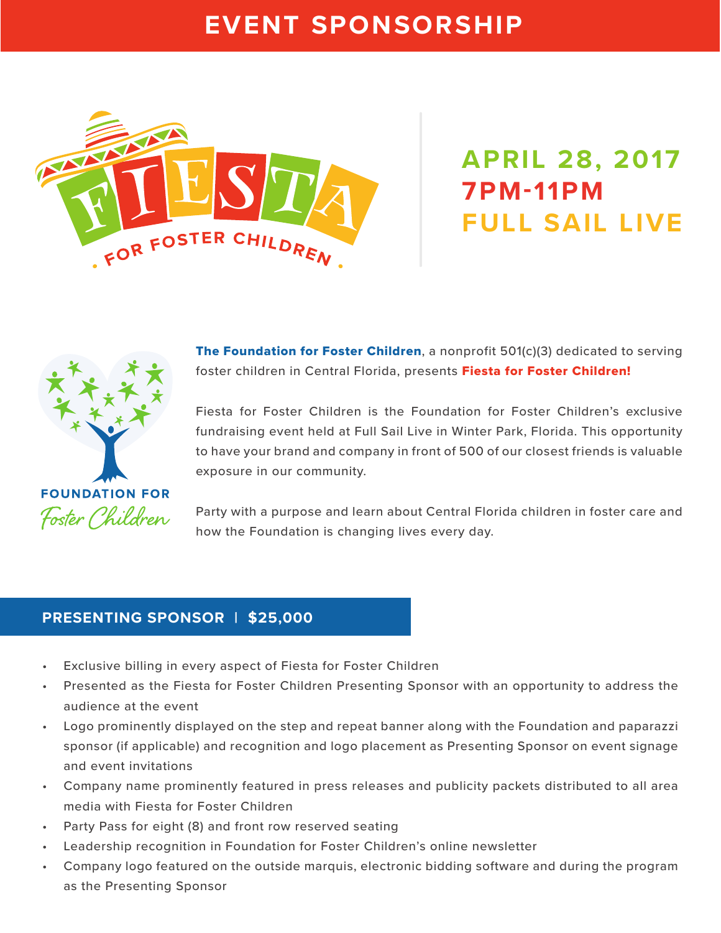## **EVENT SPONSORSHIP**



# **APRIL 28, 2017 7PM-11PM FULL SAIL LIVE**



**The Foundation for Foster Children, a nonprofit 501(c)(3) dedicated to serving** foster children in Central Florida, presents Fiesta for Foster Children!

Fiesta for Foster Children is the Foundation for Foster Children's exclusive fundraising event held at Full Sail Live in Winter Park, Florida. This opportunity to have your brand and company in front of 500 of our closest friends is valuable exposure in our community.

Party with a purpose and learn about Central Florida children in foster care and how the Foundation is changing lives every day.

#### **PRESENTING SPONSOR | \$25,000**

- Exclusive billing in every aspect of Fiesta for Foster Children
- Presented as the Fiesta for Foster Children Presenting Sponsor with an opportunity to address the audience at the event
- Logo prominently displayed on the step and repeat banner along with the Foundation and paparazzi sponsor (if applicable) and recognition and logo placement as Presenting Sponsor on event signage and event invitations
- Company name prominently featured in press releases and publicity packets distributed to all area media with Fiesta for Foster Children
- Party Pass for eight (8) and front row reserved seating
- Leadership recognition in Foundation for Foster Children's online newsletter
- Company logo featured on the outside marquis, electronic bidding software and during the program as the Presenting Sponsor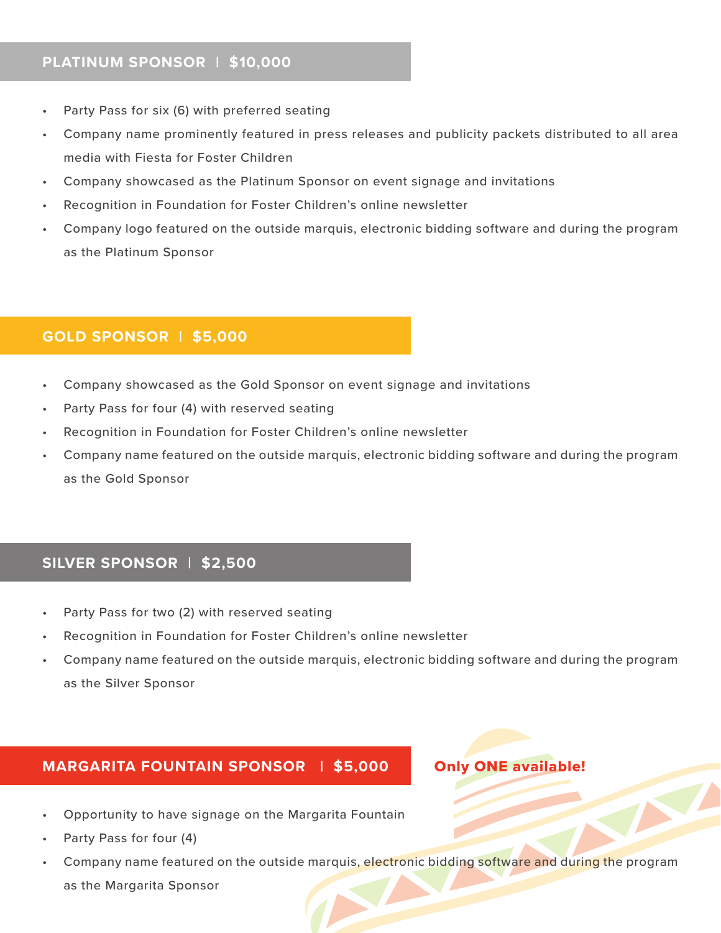#### **PLATINUM SPONSOR | \$10,000**

- Party Pass for six (6) with preferred seating
- Company name prominently featured in press releases and publicity packets distributed to all area media with Fiesta for Foster Children
- Company showcased as the Platinum Sponsor on event signage and invitations
- Recognition in Foundation for Foster Children's online newsletter
- Company logo featured on the outside marquis, electronic bidding software and during the program as the Platinum Sponsor

#### **GOLD SPONSOR | \$5,000**

- Company showcased as the Gold Sponsor on event signage and invitations
- Party Pass for four (4) with reserved seating
- Recognition in Foundation for Foster Children's online newsletter
- Company name featured on the outside marquis, electronic bidding software and during the program as the Gold Sponsor

#### **SILVER SPONSOR | \$2,500**

- Party Pass for two (2) with reserved seating
- Recognition in Foundation for Foster Children's online newsletter
- Company name featured on the outside marquis, electronic bidding software and during the program as the Silver Sponsor

#### **MARGARITA FOUNTAIN SPONSOR | \$5,000**

#### Only ONE available!

- Opportunity to have signage on the Margarita Fountain
- Party Pass for four (4)
- Company name featured on the outside marquis, electronic bidding software and during the program as the Margarita Sponsor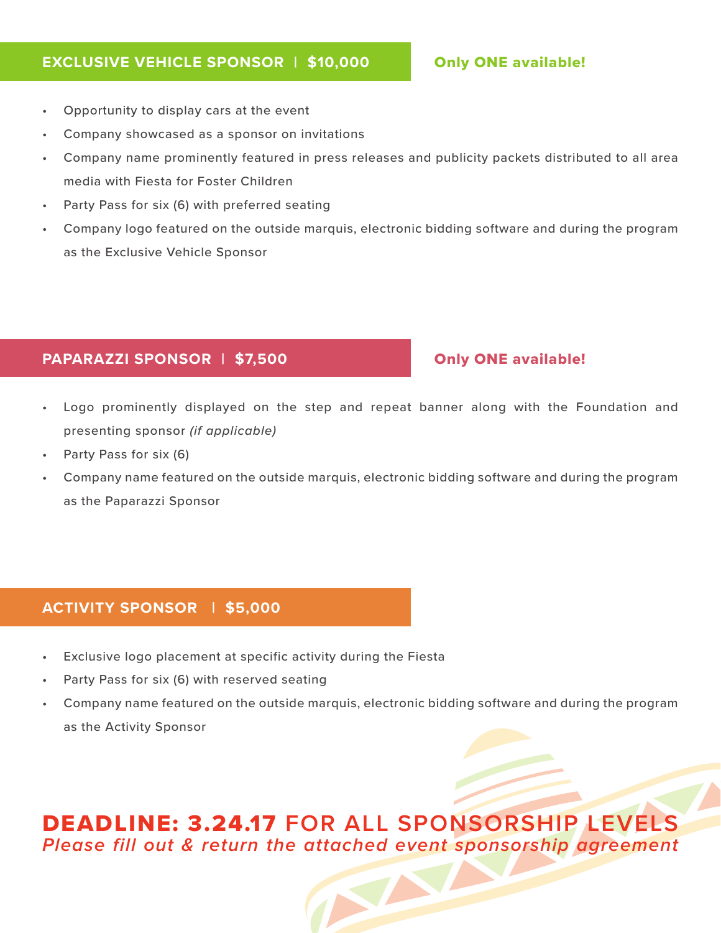#### **EXCLUSIVE VEHICLE SPONSOR | \$10,000**

#### Only ONE available!

- Opportunity to display cars at the event
- Company showcased as a sponsor on invitations
- Company name prominently featured in press releases and publicity packets distributed to all area media with Fiesta for Foster Children
- Party Pass for six (6) with preferred seating
- Company logo featured on the outside marquis, electronic bidding software and during the program as the Exclusive Vehicle Sponsor

#### **PAPARAZZI SPONSOR | \$7,500**

#### Only ONE available!

- Logo prominently displayed on the step and repeat banner along with the Foundation and presenting sponsor *(if applicable)*
- Party Pass for six (6)
- Company name featured on the outside marquis, electronic bidding software and during the program as the Paparazzi Sponsor

#### **ACTIVITY SPONSOR | \$5,000**

- Exclusive logo placement at specific activity during the Fiesta
- Party Pass for six (6) with reserved seating
- Company name featured on the outside marquis, electronic bidding software and during the program as the Activity Sponsor

### DEADLINE: 3.24.17 **FOR ALL SPONSORSHIP LEVELS Please fill out & return the attached event sponsorship agreement**